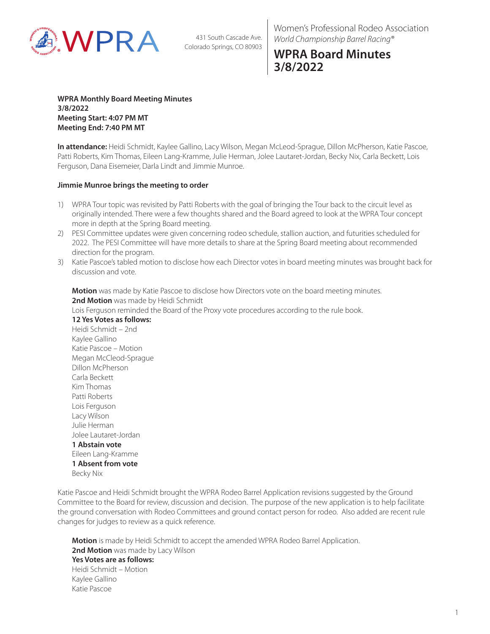

Women's Professional Rodeo Association *World Championship Barrel Racing®*

## **WPRA Board Minutes 3/8/2022**

**WPRA Monthly Board Meeting Minutes 3/8/2022 Meeting Start: 4:07 PM MT Meeting End: 7:40 PM MT**

**In attendance:** Heidi Schmidt, Kaylee Gallino, Lacy Wilson, Megan McLeod-Sprague, Dillon McPherson, Katie Pascoe, Patti Roberts, Kim Thomas, Eileen Lang-Kramme, Julie Herman, Jolee Lautaret-Jordan, Becky Nix, Carla Beckett, Lois Ferguson, Dana Eisemeier, Darla Lindt and Jimmie Munroe.

#### **Jimmie Munroe brings the meeting to order**

- 1) WPRA Tour topic was revisited by Patti Roberts with the goal of bringing the Tour back to the circuit level as originally intended. There were a few thoughts shared and the Board agreed to look at the WPRA Tour concept more in depth at the Spring Board meeting.
- 2) PESI Committee updates were given concerning rodeo schedule, stallion auction, and futurities scheduled for 2022. The PESI Committee will have more details to share at the Spring Board meeting about recommended direction for the program.
- 3) Katie Pascoe's tabled motion to disclose how each Director votes in board meeting minutes was brought back for discussion and vote.

**Motion** was made by Katie Pascoe to disclose how Directors vote on the board meeting minutes. **2nd Motion** was made by Heidi Schmidt

Lois Ferguson reminded the Board of the Proxy vote procedures according to the rule book.

**12 Yes Votes as follows:** Heidi Schmidt – 2nd Kaylee Gallino Katie Pascoe – Motion Megan McCleod-Sprague Dillon McPherson Carla Beckett Kim Thomas Patti Roberts Lois Ferguson Lacy Wilson Julie Herman Jolee Lautaret-Jordan **1 Abstain vote** Eileen Lang-Kramme **1 Absent from vote**

Becky Nix

Katie Pascoe and Heidi Schmidt brought the WPRA Rodeo Barrel Application revisions suggested by the Ground Committee to the Board for review, discussion and decision. The purpose of the new application is to help facilitate the ground conversation with Rodeo Committees and ground contact person for rodeo. Also added are recent rule changes for judges to review as a quick reference.

**Motion** is made by Heidi Schmidt to accept the amended WPRA Rodeo Barrel Application. 2nd Motion was made by Lacy Wilson **Yes Votes are as follows:** Heidi Schmidt – Motion Kaylee Gallino Katie Pascoe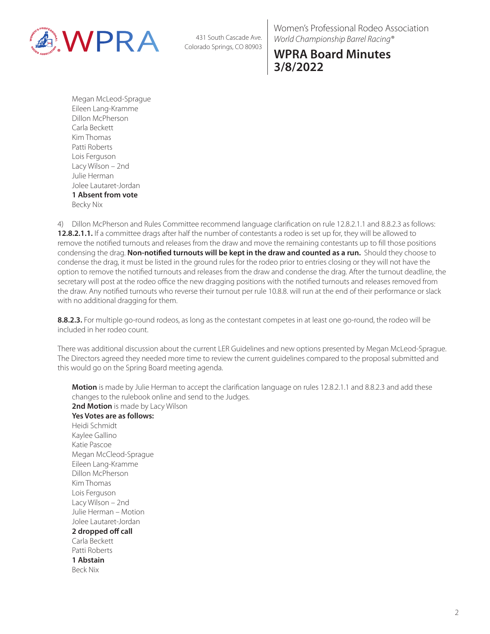

Women's Professional Rodeo Association *World Championship Barrel Racing®*

# **WPRA Board Minutes 3/8/2022**

Megan McLeod-Sprague Eileen Lang-Kramme Dillon McPherson Carla Beckett Kim Thomas Patti Roberts Lois Ferguson Lacy Wilson – 2nd Julie Herman Jolee Lautaret-Jordan **1 Absent from vote** Becky Nix

4) Dillon McPherson and Rules Committee recommend language clarification on rule 12.8.2.1.1 and 8.8.2.3 as follows: **12.8.2.1.1.** If a committee drags after half the number of contestants a rodeo is set up for, they will be allowed to remove the notified turnouts and releases from the draw and move the remaining contestants up to fill those positions condensing the drag. **Non-notified turnouts will be kept in the draw and counted as a run.** Should they choose to condense the drag, it must be listed in the ground rules for the rodeo prior to entries closing or they will not have the option to remove the notified turnouts and releases from the draw and condense the drag. After the turnout deadline, the secretary will post at the rodeo office the new dragging positions with the notified turnouts and releases removed from the draw. Any notified turnouts who reverse their turnout per rule 10.8.8. will run at the end of their performance or slack with no additional dragging for them.

**8.8.2.3.** For multiple go-round rodeos, as long as the contestant competes in at least one go-round, the rodeo will be included in her rodeo count.

There was additional discussion about the current LER Guidelines and new options presented by Megan McLeod-Sprague. The Directors agreed they needed more time to review the current guidelines compared to the proposal submitted and this would go on the Spring Board meeting agenda.

**Motion** is made by Julie Herman to accept the clarification language on rules 12.8.2.1.1 and 8.8.2.3 and add these changes to the rulebook online and send to the Judges. 2nd Motion is made by Lacy Wilson **Yes Votes are as follows:** Heidi Schmidt Kaylee Gallino Katie Pascoe Megan McCleod-Sprague Eileen Lang-Kramme Dillon McPherson Kim Thomas Lois Ferguson Lacy Wilson – 2nd Julie Herman – Motion Jolee Lautaret-Jordan **2 dropped off call** Carla Beckett Patti Roberts **1 Abstain** Beck Nix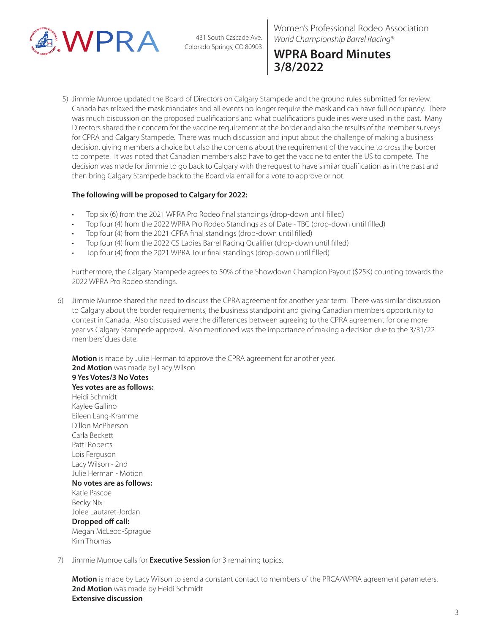

Women's Professional Rodeo Association *World Championship Barrel Racing®*

# **WPRA Board Minutes 3/8/2022**

5) Jimmie Munroe updated the Board of Directors on Calgary Stampede and the ground rules submitted for review. Canada has relaxed the mask mandates and all events no longer require the mask and can have full occupancy. There was much discussion on the proposed qualifications and what qualifications guidelines were used in the past. Many Directors shared their concern for the vaccine requirement at the border and also the results of the member surveys for CPRA and Calgary Stampede. There was much discussion and input about the challenge of making a business decision, giving members a choice but also the concerns about the requirement of the vaccine to cross the border to compete. It was noted that Canadian members also have to get the vaccine to enter the US to compete. The decision was made for Jimmie to go back to Calgary with the request to have similar qualification as in the past and then bring Calgary Stampede back to the Board via email for a vote to approve or not.

#### **The following will be proposed to Calgary for 2022:**

- Top six (6) from the 2021 WPRA Pro Rodeo final standings (drop-down until filled)
- Top four (4) from the 2022 WPRA Pro Rodeo Standings as of Date TBC (drop-down until filled)
- Top four (4) from the 2021 CPRA final standings (drop-down until filled)
- Top four (4) from the 2022 CS Ladies Barrel Racing Qualifier (drop-down until filled)
- Top four (4) from the 2021 WPRA Tour final standings (drop-down until filled)

Furthermore, the Calgary Stampede agrees to 50% of the Showdown Champion Payout (\$25K) counting towards the 2022 WPRA Pro Rodeo standings.

6) Jimmie Munroe shared the need to discuss the CPRA agreement for another year term. There was similar discussion to Calgary about the border requirements, the business standpoint and giving Canadian members opportunity to contest in Canada. Also discussed were the differences between agreeing to the CPRA agreement for one more year vs Calgary Stampede approval. Also mentioned was the importance of making a decision due to the 3/31/22 members' dues date.

**Motion** is made by Julie Herman to approve the CPRA agreement for another year. **2nd Motion** was made by Lacy Wilson **9 Yes Votes/3 No Votes** 

**Yes votes are as follows:** Heidi Schmidt Kaylee Gallino Eileen Lang-Kramme Dillon McPherson Carla Beckett Patti Roberts Lois Ferguson Lacy Wilson - 2nd Julie Herman - Motion **No votes are as follows:** Katie Pascoe Becky Nix Jolee Lautaret-Jordan **Dropped off call:** Megan McLeod-Sprague Kim Thomas

7) Jimmie Munroe calls for **Executive Session** for 3 remaining topics.

**Motion** is made by Lacy Wilson to send a constant contact to members of the PRCA/WPRA agreement parameters. **2nd Motion** was made by Heidi Schmidt **Extensive discussion**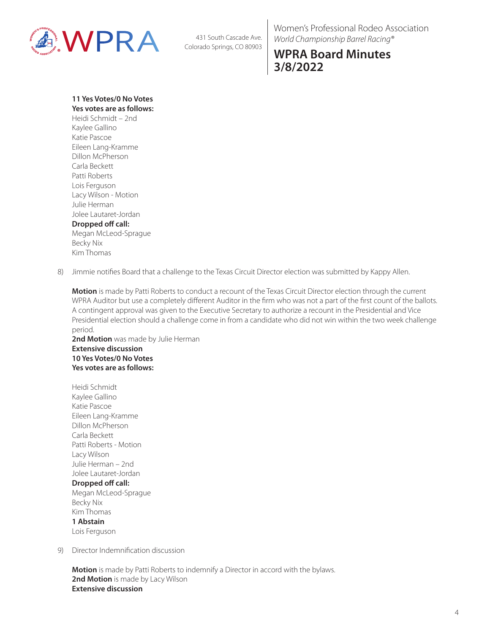

Women's Professional Rodeo Association *World Championship Barrel Racing®*

## **WPRA Board Minutes 3/8/2022**

**11 Yes Votes/0 No Votes Yes votes are as follows:**

Heidi Schmidt – 2nd Kaylee Gallino Katie Pascoe Eileen Lang-Kramme Dillon McPherson Carla Beckett Patti Roberts Lois Ferguson Lacy Wilson - Motion Julie Herman Jolee Lautaret-Jordan **Dropped off call:**

Megan McLeod-Sprague Becky Nix Kim Thomas

8) Jimmie notifies Board that a challenge to the Texas Circuit Director election was submitted by Kappy Allen.

**Motion** is made by Patti Roberts to conduct a recount of the Texas Circuit Director election through the current WPRA Auditor but use a completely different Auditor in the firm who was not a part of the first count of the ballots. A contingent approval was given to the Executive Secretary to authorize a recount in the Presidential and Vice Presidential election should a challenge come in from a candidate who did not win within the two week challenge period.

2nd Motion was made by Julie Herman **Extensive discussion 10 Yes Votes/0 No Votes Yes votes are as follows:**

Heidi Schmidt Kaylee Gallino Katie Pascoe Eileen Lang-Kramme Dillon McPherson Carla Beckett Patti Roberts - Motion Lacy Wilson Julie Herman – 2nd Jolee Lautaret-Jordan **Dropped off call:** Megan McLeod-Sprague Becky Nix Kim Thomas **1 Abstain**

Lois Ferguson

9) Director Indemnification discussion

**Motion** is made by Patti Roberts to indemnify a Director in accord with the bylaws. 2nd Motion is made by Lacy Wilson **Extensive discussion**